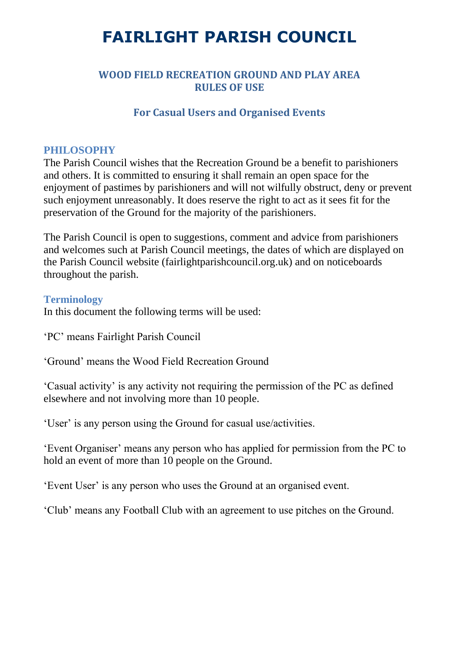### **WOOD FIELD RECREATION GROUND AND PLAY AREA RULES OF USE**

#### **For Casual Users and Organised Events**

#### **PHILOSOPHY**

The Parish Council wishes that the Recreation Ground be a benefit to parishioners and others. It is committed to ensuring it shall remain an open space for the enjoyment of pastimes by parishioners and will not wilfully obstruct, deny or prevent such enjoyment unreasonably. It does reserve the right to act as it sees fit for the preservation of the Ground for the majority of the parishioners.

The Parish Council is open to suggestions, comment and advice from parishioners and welcomes such at Parish Council meetings, the dates of which are displayed on the Parish Council website (fairlightparishcouncil.org.uk) and on noticeboards throughout the parish.

#### **Terminology**

In this document the following terms will be used:

'PC' means Fairlight Parish Council

'Ground' means the Wood Field Recreation Ground

'Casual activity' is any activity not requiring the permission of the PC as defined elsewhere and not involving more than 10 people.

'User' is any person using the Ground for casual use/activities.

'Event Organiser' means any person who has applied for permission from the PC to hold an event of more than 10 people on the Ground.

'Event User' is any person who uses the Ground at an organised event.

'Club' means any Football Club with an agreement to use pitches on the Ground.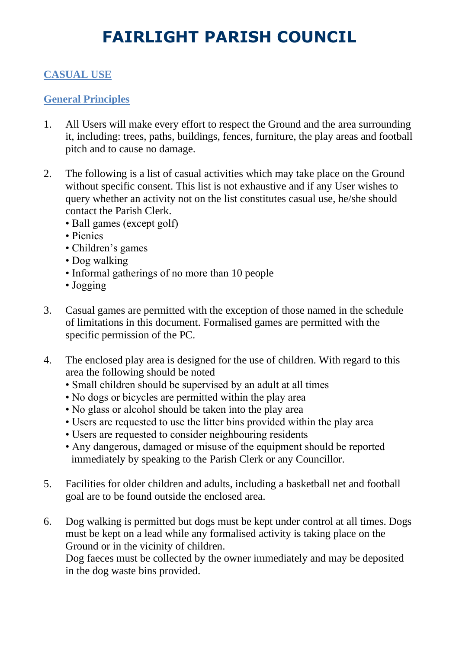## **CASUAL USE**

### **General Principles**

- 1. All Users will make every effort to respect the Ground and the area surrounding it, including: trees, paths, buildings, fences, furniture, the play areas and football pitch and to cause no damage.
- 2. The following is a list of casual activities which may take place on the Ground without specific consent. This list is not exhaustive and if any User wishes to query whether an activity not on the list constitutes casual use, he/she should contact the Parish Clerk.
	- Ball games (except golf)
	- Picnics
	- Children's games
	- Dog walking
	- Informal gatherings of no more than 10 people
	- Jogging
- 3. Casual games are permitted with the exception of those named in the schedule of limitations in this document. Formalised games are permitted with the specific permission of the PC.
- 4. The enclosed play area is designed for the use of children. With regard to this area the following should be noted
	- Small children should be supervised by an adult at all times
	- No dogs or bicycles are permitted within the play area
	- No glass or alcohol should be taken into the play area
	- Users are requested to use the litter bins provided within the play area
	- Users are requested to consider neighbouring residents
	- Any dangerous, damaged or misuse of the equipment should be reported immediately by speaking to the Parish Clerk or any Councillor.
- 5. Facilities for older children and adults, including a basketball net and football goal are to be found outside the enclosed area.
- 6. Dog walking is permitted but dogs must be kept under control at all times. Dogs must be kept on a lead while any formalised activity is taking place on the Ground or in the vicinity of children.

Dog faeces must be collected by the owner immediately and may be deposited in the dog waste bins provided.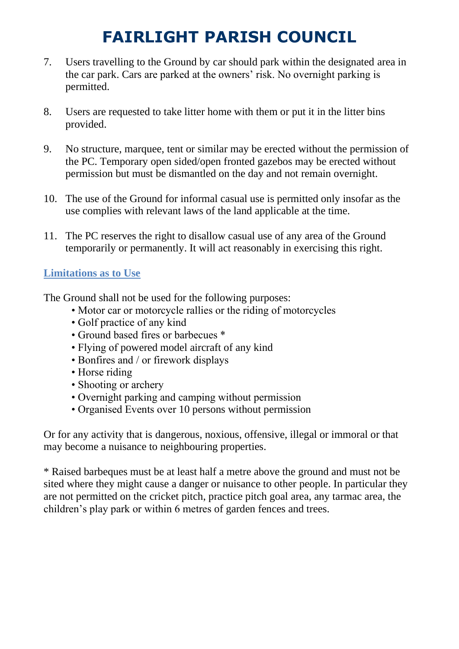- 7. Users travelling to the Ground by car should park within the designated area in the car park. Cars are parked at the owners' risk. No overnight parking is permitted.
- 8. Users are requested to take litter home with them or put it in the litter bins provided.
- 9. No structure, marquee, tent or similar may be erected without the permission of the PC. Temporary open sided/open fronted gazebos may be erected without permission but must be dismantled on the day and not remain overnight.
- 10. The use of the Ground for informal casual use is permitted only insofar as the use complies with relevant laws of the land applicable at the time.
- 11. The PC reserves the right to disallow casual use of any area of the Ground temporarily or permanently. It will act reasonably in exercising this right.

### **Limitations as to Use**

The Ground shall not be used for the following purposes:

- Motor car or motorcycle rallies or the riding of motorcycles
- Golf practice of any kind
- Ground based fires or barbecues \*
- Flying of powered model aircraft of any kind
- Bonfires and / or firework displays
- Horse riding
- Shooting or archery
- Overnight parking and camping without permission
- Organised Events over 10 persons without permission

Or for any activity that is dangerous, noxious, offensive, illegal or immoral or that may become a nuisance to neighbouring properties.

\* Raised barbeques must be at least half a metre above the ground and must not be sited where they might cause a danger or nuisance to other people. In particular they are not permitted on the cricket pitch, practice pitch goal area, any tarmac area, the children's play park or within 6 metres of garden fences and trees.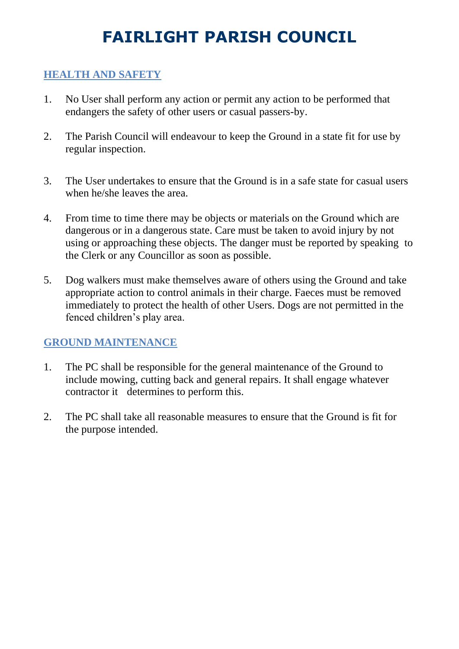### **HEALTH AND SAFETY**

- 1. No User shall perform any action or permit any action to be performed that endangers the safety of other users or casual passers-by.
- 2. The Parish Council will endeavour to keep the Ground in a state fit for use by regular inspection.
- 3. The User undertakes to ensure that the Ground is in a safe state for casual users when he/she leaves the area.
- 4. From time to time there may be objects or materials on the Ground which are dangerous or in a dangerous state. Care must be taken to avoid injury by not using or approaching these objects. The danger must be reported by speaking to the Clerk or any Councillor as soon as possible.
- 5. Dog walkers must make themselves aware of others using the Ground and take appropriate action to control animals in their charge. Faeces must be removed immediately to protect the health of other Users. Dogs are not permitted in the fenced children's play area.

#### **GROUND MAINTENANCE**

- 1. The PC shall be responsible for the general maintenance of the Ground to include mowing, cutting back and general repairs. It shall engage whatever contractor it determines to perform this.
- 2. The PC shall take all reasonable measures to ensure that the Ground is fit for the purpose intended.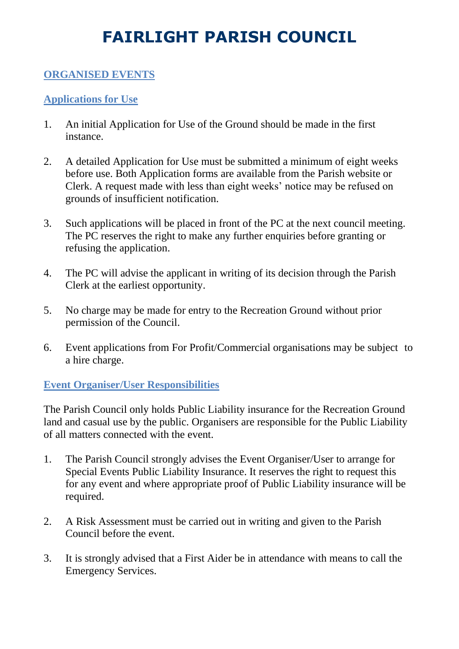### **ORGANISED EVENTS**

### **Applications for Use**

- 1. An initial Application for Use of the Ground should be made in the first instance.
- 2. A detailed Application for Use must be submitted a minimum of eight weeks before use. Both Application forms are available from the Parish website or Clerk. A request made with less than eight weeks' notice may be refused on grounds of insufficient notification.
- 3. Such applications will be placed in front of the PC at the next council meeting. The PC reserves the right to make any further enquiries before granting or refusing the application.
- 4. The PC will advise the applicant in writing of its decision through the Parish Clerk at the earliest opportunity.
- 5. No charge may be made for entry to the Recreation Ground without prior permission of the Council.
- 6. Event applications from For Profit/Commercial organisations may be subject to a hire charge.

### **Event Organiser/User Responsibilities**

The Parish Council only holds Public Liability insurance for the Recreation Ground land and casual use by the public. Organisers are responsible for the Public Liability of all matters connected with the event.

- 1. The Parish Council strongly advises the Event Organiser/User to arrange for Special Events Public Liability Insurance. It reserves the right to request this for any event and where appropriate proof of Public Liability insurance will be required.
- 2. A Risk Assessment must be carried out in writing and given to the Parish Council before the event.
- 3. It is strongly advised that a First Aider be in attendance with means to call the Emergency Services.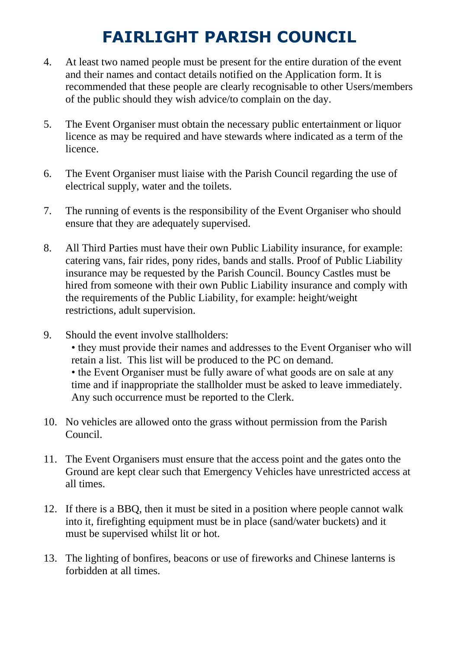- 4. At least two named people must be present for the entire duration of the event and their names and contact details notified on the Application form. It is recommended that these people are clearly recognisable to other Users/members of the public should they wish advice/to complain on the day.
- 5. The Event Organiser must obtain the necessary public entertainment or liquor licence as may be required and have stewards where indicated as a term of the licence.
- 6. The Event Organiser must liaise with the Parish Council regarding the use of electrical supply, water and the toilets.
- 7. The running of events is the responsibility of the Event Organiser who should ensure that they are adequately supervised.
- 8. All Third Parties must have their own Public Liability insurance, for example: catering vans, fair rides, pony rides, bands and stalls. Proof of Public Liability insurance may be requested by the Parish Council. Bouncy Castles must be hired from someone with their own Public Liability insurance and comply with the requirements of the Public Liability, for example: height/weight restrictions, adult supervision.
- 9. Should the event involve stallholders:
	- they must provide their names and addresses to the Event Organiser who will retain a list. This list will be produced to the PC on demand. • the Event Organiser must be fully aware of what goods are on sale at any time and if inappropriate the stallholder must be asked to leave immediately. Any such occurrence must be reported to the Clerk.
- 10. No vehicles are allowed onto the grass without permission from the Parish Council.
- 11. The Event Organisers must ensure that the access point and the gates onto the Ground are kept clear such that Emergency Vehicles have unrestricted access at all times.
- 12. If there is a BBQ, then it must be sited in a position where people cannot walk into it, firefighting equipment must be in place (sand/water buckets) and it must be supervised whilst lit or hot.
- 13. The lighting of bonfires, beacons or use of fireworks and Chinese lanterns is forbidden at all times.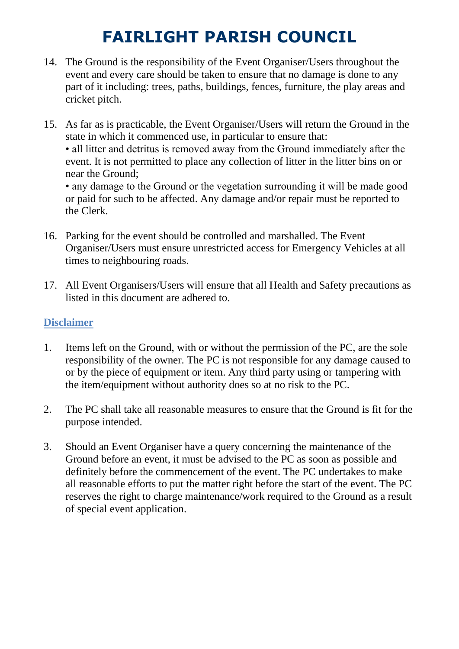- 14. The Ground is the responsibility of the Event Organiser/Users throughout the event and every care should be taken to ensure that no damage is done to any part of it including: trees, paths, buildings, fences, furniture, the play areas and cricket pitch.
- 15. As far as is practicable, the Event Organiser/Users will return the Ground in the state in which it commenced use, in particular to ensure that: • all litter and detritus is removed away from the Ground immediately after the event. It is not permitted to place any collection of litter in the litter bins on or near the Ground; • any damage to the Ground or the vegetation surrounding it will be made good

or paid for such to be affected. Any damage and/or repair must be reported to the Clerk.

- 16. Parking for the event should be controlled and marshalled. The Event Organiser/Users must ensure unrestricted access for Emergency Vehicles at all times to neighbouring roads.
- 17. All Event Organisers/Users will ensure that all Health and Safety precautions as listed in this document are adhered to.

### **Disclaimer**

- 1. Items left on the Ground, with or without the permission of the PC, are the sole responsibility of the owner. The PC is not responsible for any damage caused to or by the piece of equipment or item. Any third party using or tampering with the item/equipment without authority does so at no risk to the PC.
- 2. The PC shall take all reasonable measures to ensure that the Ground is fit for the purpose intended.
- 3. Should an Event Organiser have a query concerning the maintenance of the Ground before an event, it must be advised to the PC as soon as possible and definitely before the commencement of the event. The PC undertakes to make all reasonable efforts to put the matter right before the start of the event. The PC reserves the right to charge maintenance/work required to the Ground as a result of special event application.